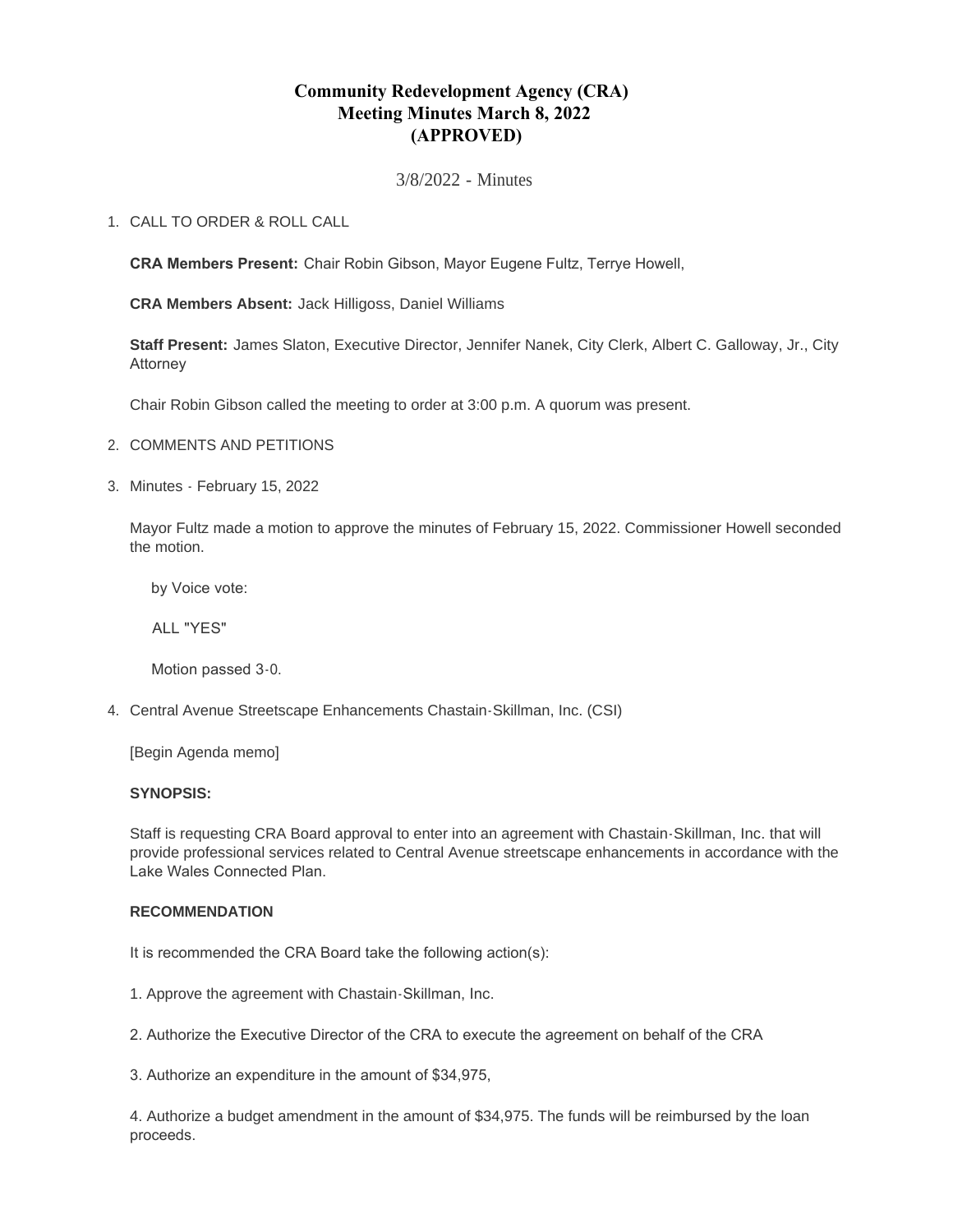# **Community Redevelopment Agency (CRA) Meeting Minutes March 8, 2022 (APPROVED)**

3/8/2022 - Minutes

## CALL TO ORDER & ROLL CALL 1.

**CRA Members Present:** Chair Robin Gibson, Mayor Eugene Fultz, Terrye Howell,

**CRA Members Absent:** Jack Hilligoss, Daniel Williams

**Staff Present:** James Slaton, Executive Director, Jennifer Nanek, City Clerk, Albert C. Galloway, Jr., City Attorney

Chair Robin Gibson called the meeting to order at 3:00 p.m. A quorum was present.

- 2. COMMENTS AND PETITIONS
- Minutes February 15, 2022 3.

Mayor Fultz made a motion to approve the minutes of February 15, 2022. Commissioner Howell seconded the motion.

by Voice vote:

ALL "YES"

Motion passed 3-0.

Central Avenue Streetscape Enhancements Chastain-Skillman, Inc. (CSI) 4.

[Begin Agenda memo]

## **SYNOPSIS:**

Staff is requesting CRA Board approval to enter into an agreement with Chastain-Skillman, Inc. that will provide professional services related to Central Avenue streetscape enhancements in accordance with the Lake Wales Connected Plan.

## **RECOMMENDATION**

It is recommended the CRA Board take the following action(s):

- 1. Approve the agreement with Chastain-Skillman, Inc.
- 2. Authorize the Executive Director of the CRA to execute the agreement on behalf of the CRA

3. Authorize an expenditure in the amount of \$34,975,

4. Authorize a budget amendment in the amount of \$34,975. The funds will be reimbursed by the loan proceeds.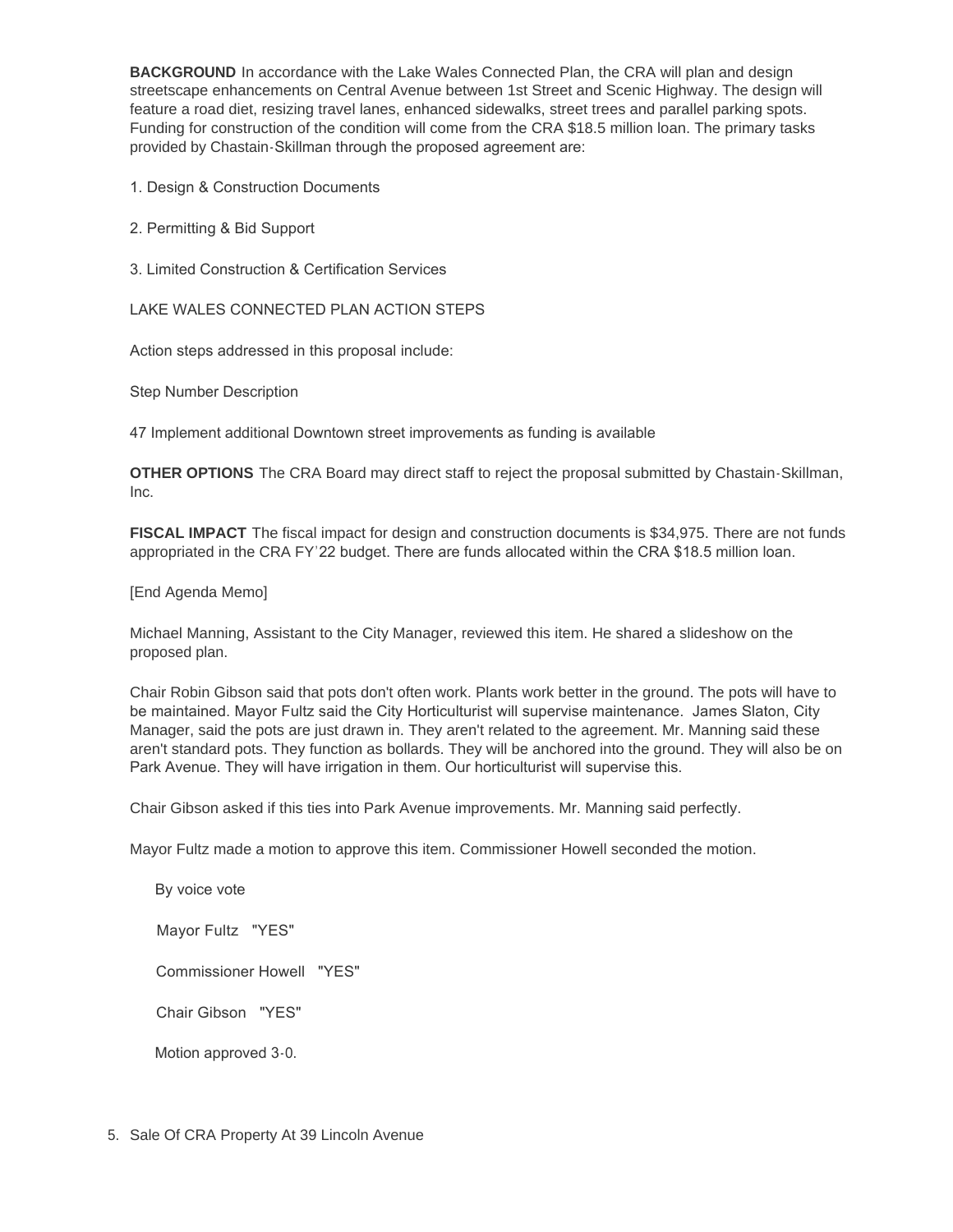**BACKGROUND** In accordance with the Lake Wales Connected Plan, the CRA will plan and design streetscape enhancements on Central Avenue between 1st Street and Scenic Highway. The design will feature a road diet, resizing travel lanes, enhanced sidewalks, street trees and parallel parking spots. Funding for construction of the condition will come from the CRA \$18.5 million loan. The primary tasks provided by Chastain-Skillman through the proposed agreement are:

1. Design & Construction Documents

2. Permitting & Bid Support

3. Limited Construction & Certification Services

LAKE WALES CONNECTED PLAN ACTION STEPS

Action steps addressed in this proposal include:

Step Number Description

47 Implement additional Downtown street improvements as funding is available

**OTHER OPTIONS** The CRA Board may direct staff to reject the proposal submitted by Chastain-Skillman, Inc.

**FISCAL IMPACT** The fiscal impact for design and construction documents is \$34,975. There are not funds appropriated in the CRA FY'22 budget. There are funds allocated within the CRA \$18.5 million loan.

[End Agenda Memo]

Michael Manning, Assistant to the City Manager, reviewed this item. He shared a slideshow on the proposed plan.

Chair Robin Gibson said that pots don't often work. Plants work better in the ground. The pots will have to be maintained. Mayor Fultz said the City Horticulturist will supervise maintenance. James Slaton, City Manager, said the pots are just drawn in. They aren't related to the agreement. Mr. Manning said these aren't standard pots. They function as bollards. They will be anchored into the ground. They will also be on Park Avenue. They will have irrigation in them. Our horticulturist will supervise this.

Chair Gibson asked if this ties into Park Avenue improvements. Mr. Manning said perfectly.

Mayor Fultz made a motion to approve this item. Commissioner Howell seconded the motion.

 By voice vote Mayor Fultz "YES" Commissioner Howell "YES" Chair Gibson "YES" Motion approved 3-0.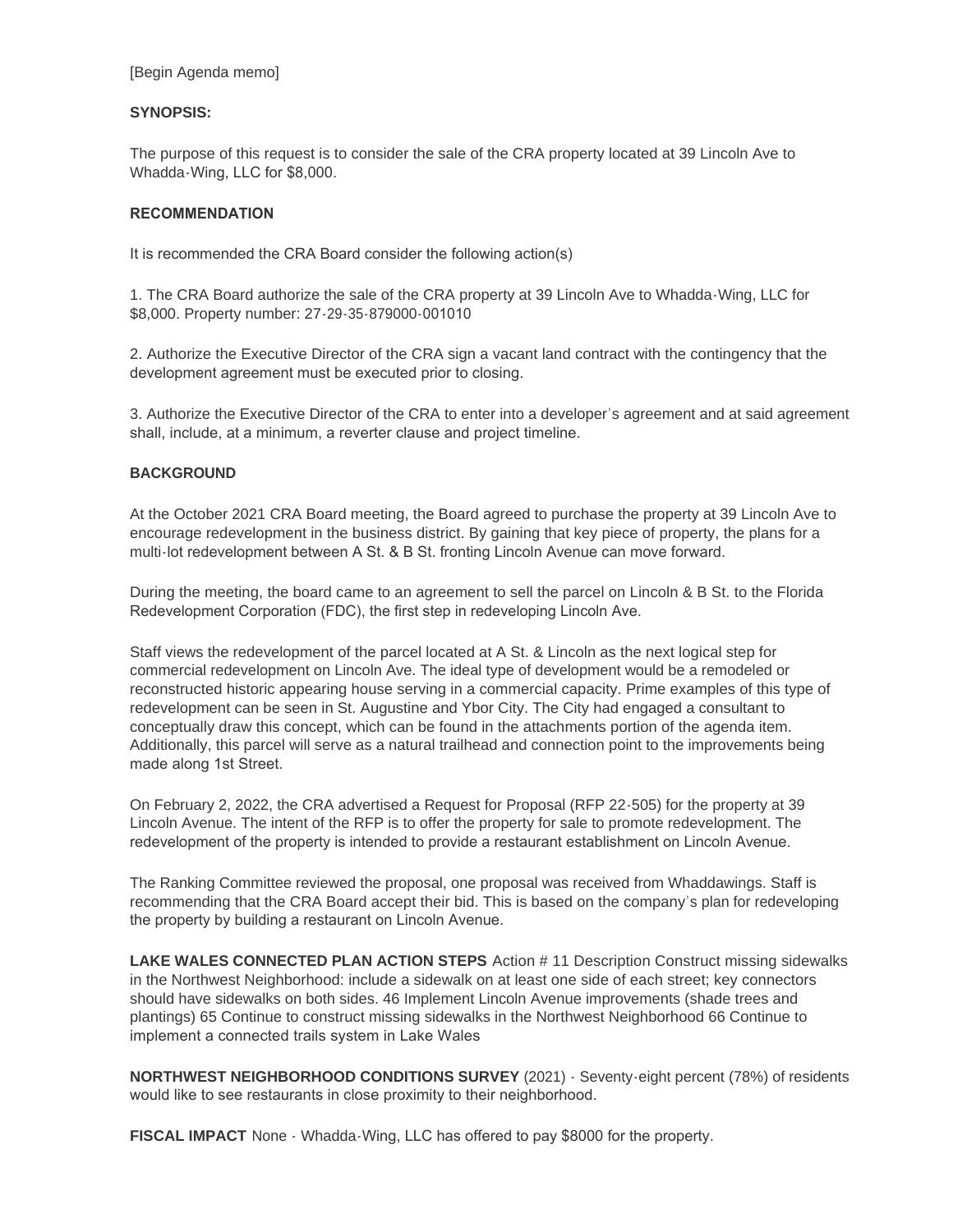## **SYNOPSIS:**

The purpose of this request is to consider the sale of the CRA property located at 39 Lincoln Ave to Whadda-Wing, LLC for \$8,000.

## **RECOMMENDATION**

It is recommended the CRA Board consider the following action(s)

1. The CRA Board authorize the sale of the CRA property at 39 Lincoln Ave to Whadda-Wing, LLC for \$8,000. Property number: 27-29-35-879000-001010

2. Authorize the Executive Director of the CRA sign a vacant land contract with the contingency that the development agreement must be executed prior to closing.

3. Authorize the Executive Director of the CRA to enter into a developer's agreement and at said agreement shall, include, at a minimum, a reverter clause and project timeline.

## **BACKGROUND**

At the October 2021 CRA Board meeting, the Board agreed to purchase the property at 39 Lincoln Ave to encourage redevelopment in the business district. By gaining that key piece of property, the plans for a multi-lot redevelopment between A St. & B St. fronting Lincoln Avenue can move forward.

During the meeting, the board came to an agreement to sell the parcel on Lincoln & B St. to the Florida Redevelopment Corporation (FDC), the first step in redeveloping Lincoln Ave.

Staff views the redevelopment of the parcel located at A St. & Lincoln as the next logical step for commercial redevelopment on Lincoln Ave. The ideal type of development would be a remodeled or reconstructed historic appearing house serving in a commercial capacity. Prime examples of this type of redevelopment can be seen in St. Augustine and Ybor City. The City had engaged a consultant to conceptually draw this concept, which can be found in the attachments portion of the agenda item. Additionally, this parcel will serve as a natural trailhead and connection point to the improvements being made along 1st Street.

On February 2, 2022, the CRA advertised a Request for Proposal (RFP 22-505) for the property at 39 Lincoln Avenue. The intent of the RFP is to offer the property for sale to promote redevelopment. The redevelopment of the property is intended to provide a restaurant establishment on Lincoln Avenue.

The Ranking Committee reviewed the proposal, one proposal was received from Whaddawings. Staff is recommending that the CRA Board accept their bid. This is based on the company's plan for redeveloping the property by building a restaurant on Lincoln Avenue.

**LAKE WALES CONNECTED PLAN ACTION STEPS** Action # 11 Description Construct missing sidewalks in the Northwest Neighborhood: include a sidewalk on at least one side of each street; key connectors should have sidewalks on both sides. 46 Implement Lincoln Avenue improvements (shade trees and plantings) 65 Continue to construct missing sidewalks in the Northwest Neighborhood 66 Continue to implement a connected trails system in Lake Wales

**NORTHWEST NEIGHBORHOOD CONDITIONS SURVEY** (2021) - Seventy-eight percent (78%) of residents would like to see restaurants in close proximity to their neighborhood.

**FISCAL IMPACT** None - Whadda-Wing, LLC has offered to pay \$8000 for the property.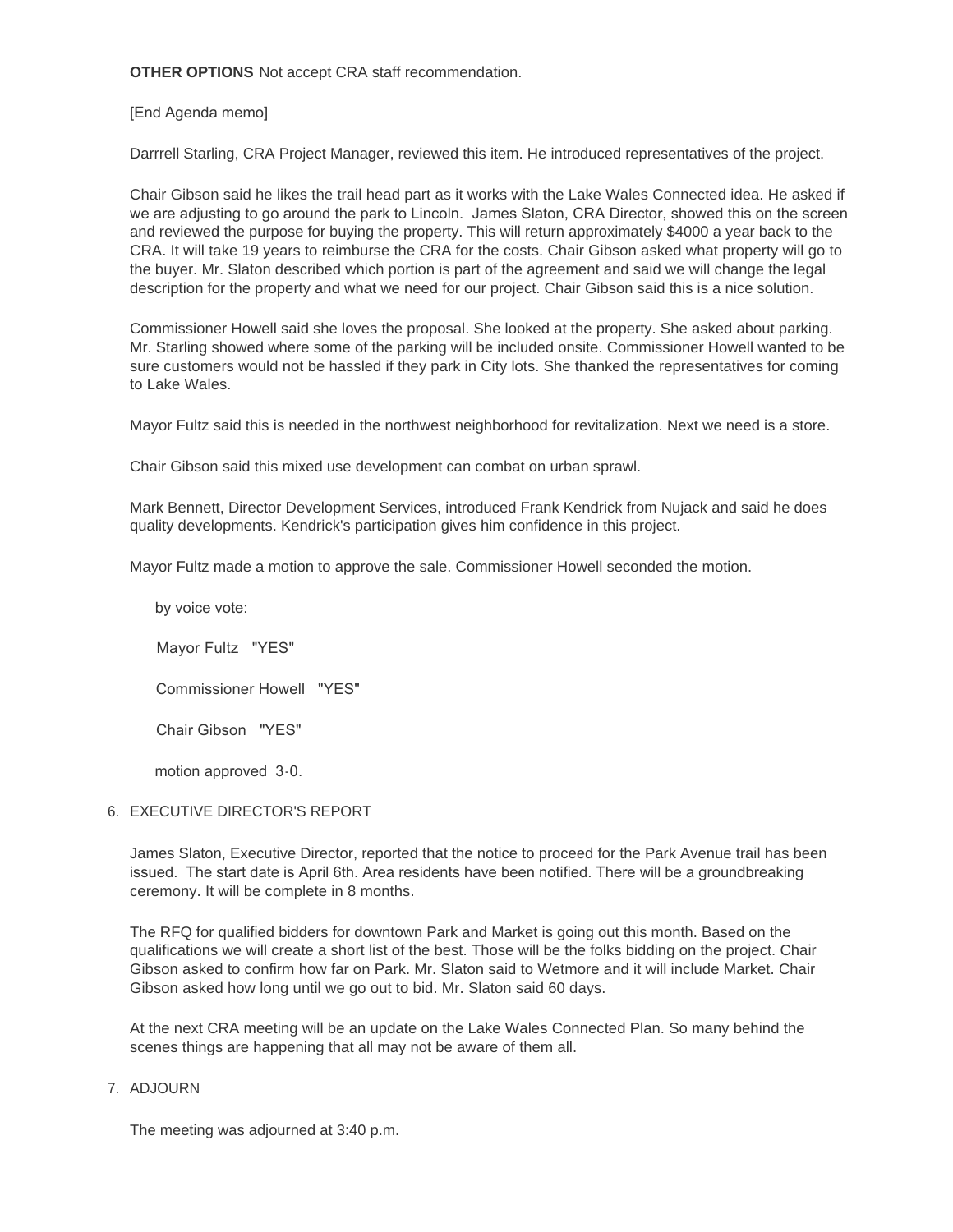**OTHER OPTIONS** Not accept CRA staff recommendation.

[End Agenda memo]

Darrrell Starling, CRA Project Manager, reviewed this item. He introduced representatives of the project.

Chair Gibson said he likes the trail head part as it works with the Lake Wales Connected idea. He asked if we are adjusting to go around the park to Lincoln. James Slaton, CRA Director, showed this on the screen and reviewed the purpose for buying the property. This will return approximately \$4000 a year back to the CRA. It will take 19 years to reimburse the CRA for the costs. Chair Gibson asked what property will go to the buyer. Mr. Slaton described which portion is part of the agreement and said we will change the legal description for the property and what we need for our project. Chair Gibson said this is a nice solution.

Commissioner Howell said she loves the proposal. She looked at the property. She asked about parking. Mr. Starling showed where some of the parking will be included onsite. Commissioner Howell wanted to be sure customers would not be hassled if they park in City lots. She thanked the representatives for coming to Lake Wales.

Mayor Fultz said this is needed in the northwest neighborhood for revitalization. Next we need is a store.

Chair Gibson said this mixed use development can combat on urban sprawl.

Mark Bennett, Director Development Services, introduced Frank Kendrick from Nujack and said he does quality developments. Kendrick's participation gives him confidence in this project.

Mayor Fultz made a motion to approve the sale. Commissioner Howell seconded the motion.

by voice vote:

Mayor Fultz "YES"

Commissioner Howell "YES"

Chair Gibson "YES"

motion approved 3-0.

## 6. EXECUTIVE DIRECTOR'S REPORT

James Slaton, Executive Director, reported that the notice to proceed for the Park Avenue trail has been issued. The start date is April 6th. Area residents have been notified. There will be a groundbreaking ceremony. It will be complete in 8 months.

The RFQ for qualified bidders for downtown Park and Market is going out this month. Based on the qualifications we will create a short list of the best. Those will be the folks bidding on the project. Chair Gibson asked to confirm how far on Park. Mr. Slaton said to Wetmore and it will include Market. Chair Gibson asked how long until we go out to bid. Mr. Slaton said 60 days.

At the next CRA meeting will be an update on the Lake Wales Connected Plan. So many behind the scenes things are happening that all may not be aware of them all.

## 7. ADJOURN

The meeting was adjourned at 3:40 p.m.